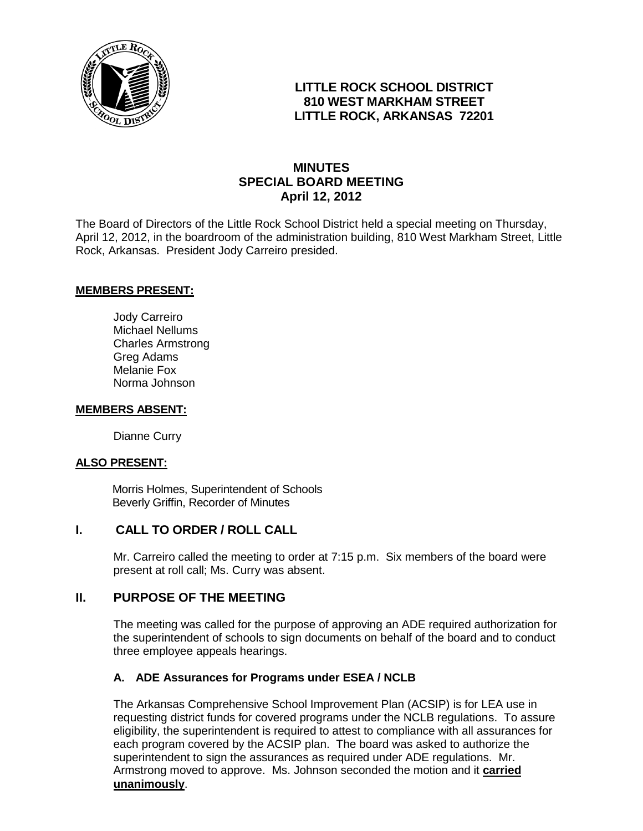

## **LITTLE ROCK SCHOOL DISTRICT 810 WEST MARKHAM STREET LITTLE ROCK, ARKANSAS 72201**

# **MINUTES SPECIAL BOARD MEETING April 12, 2012**

The Board of Directors of the Little Rock School District held a special meeting on Thursday, April 12, 2012, in the boardroom of the administration building, 810 West Markham Street, Little Rock, Arkansas. President Jody Carreiro presided.

#### **MEMBERS PRESENT:**

Jody Carreiro Michael Nellums Charles Armstrong Greg Adams Melanie Fox Norma Johnson

#### **MEMBERS ABSENT:**

Dianne Curry

#### **ALSO PRESENT:**

 Morris Holmes, Superintendent of Schools Beverly Griffin, Recorder of Minutes

### **I. CALL TO ORDER / ROLL CALL**

Mr. Carreiro called the meeting to order at 7:15 p.m. Six members of the board were present at roll call; Ms. Curry was absent.

### **II. PURPOSE OF THE MEETING**

The meeting was called for the purpose of approving an ADE required authorization for the superintendent of schools to sign documents on behalf of the board and to conduct three employee appeals hearings.

### **A. ADE Assurances for Programs under ESEA / NCLB**

The Arkansas Comprehensive School Improvement Plan (ACSIP) is for LEA use in requesting district funds for covered programs under the NCLB regulations. To assure eligibility, the superintendent is required to attest to compliance with all assurances for each program covered by the ACSIP plan. The board was asked to authorize the superintendent to sign the assurances as required under ADE regulations. Mr. Armstrong moved to approve. Ms. Johnson seconded the motion and it **carried unanimously**.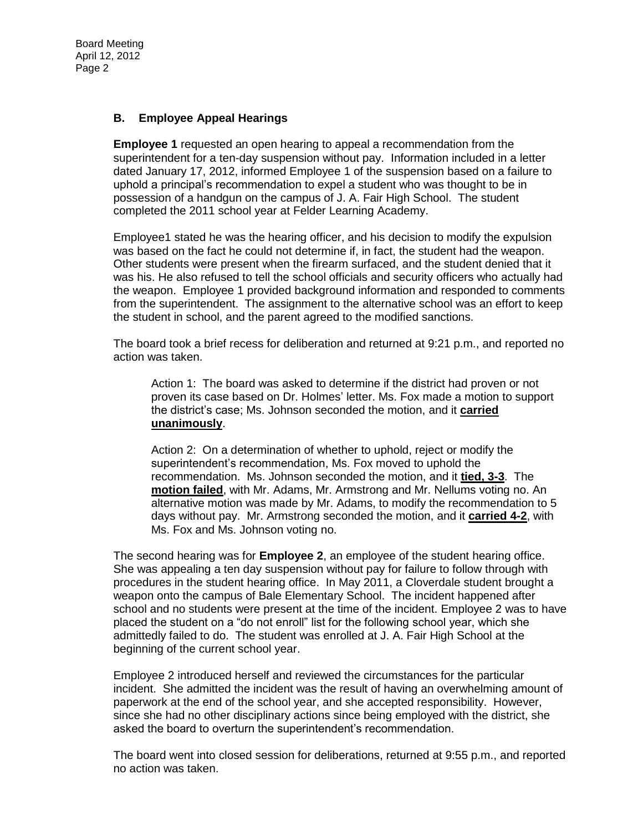#### **B. Employee Appeal Hearings**

**Employee 1** requested an open hearing to appeal a recommendation from the superintendent for a ten-day suspension without pay. Information included in a letter dated January 17, 2012, informed Employee 1 of the suspension based on a failure to uphold a principal's recommendation to expel a student who was thought to be in possession of a handgun on the campus of J. A. Fair High School. The student completed the 2011 school year at Felder Learning Academy.

Employee1 stated he was the hearing officer, and his decision to modify the expulsion was based on the fact he could not determine if, in fact, the student had the weapon. Other students were present when the firearm surfaced, and the student denied that it was his. He also refused to tell the school officials and security officers who actually had the weapon. Employee 1 provided background information and responded to comments from the superintendent. The assignment to the alternative school was an effort to keep the student in school, and the parent agreed to the modified sanctions.

The board took a brief recess for deliberation and returned at 9:21 p.m., and reported no action was taken.

Action 1: The board was asked to determine if the district had proven or not proven its case based on Dr. Holmes' letter. Ms. Fox made a motion to support the district's case; Ms. Johnson seconded the motion, and it **carried unanimously**.

Action 2: On a determination of whether to uphold, reject or modify the superintendent's recommendation, Ms. Fox moved to uphold the recommendation. Ms. Johnson seconded the motion, and it **tied, 3-3**. The **motion failed**, with Mr. Adams, Mr. Armstrong and Mr. Nellums voting no. An alternative motion was made by Mr. Adams, to modify the recommendation to 5 days without pay. Mr. Armstrong seconded the motion, and it **carried 4-2**, with Ms. Fox and Ms. Johnson voting no.

The second hearing was for **Employee 2**, an employee of the student hearing office. She was appealing a ten day suspension without pay for failure to follow through with procedures in the student hearing office. In May 2011, a Cloverdale student brought a weapon onto the campus of Bale Elementary School. The incident happened after school and no students were present at the time of the incident. Employee 2 was to have placed the student on a "do not enroll" list for the following school year, which she admittedly failed to do. The student was enrolled at J. A. Fair High School at the beginning of the current school year.

Employee 2 introduced herself and reviewed the circumstances for the particular incident. She admitted the incident was the result of having an overwhelming amount of paperwork at the end of the school year, and she accepted responsibility. However, since she had no other disciplinary actions since being employed with the district, she asked the board to overturn the superintendent's recommendation.

The board went into closed session for deliberations, returned at 9:55 p.m., and reported no action was taken.